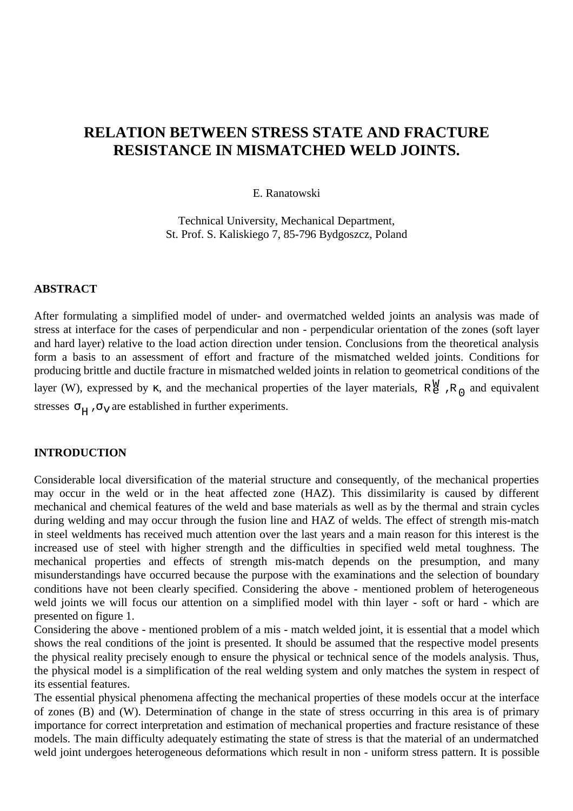# **RELATION BETWEEN STRESS STATE AND FRACTURE RESISTANCE IN MISMATCHED WELD JOINTS.**

#### E. Ranatowski

Technical University, Mechanical Department, St. Prof. S. Kaliskiego 7, 85-796 Bydgoszcz, Poland

#### **ABSTRACT**

After formulating a simplified model of under- and overmatched welded joints an analysis was made of stress at interface for the cases of perpendicular and non - perpendicular orientation of the zones (soft layer and hard layer) relative to the load action direction under tension. Conclusions from the theoretical analysis form a basis to an assessment of effort and fracture of the mismatched welded joints. Conditions for producing brittle and ductile fracture in mismatched welded joints in relation to geometrical conditions of the layer (W), expressed by κ, and the mechanical properties of the layer materials,  $R_{\theta}^{W}$ ,  $R_{0}$  and equivalent stresses  $\sigma_H$ ,  $\sigma_V$  are established in further experiments.

## **INTRODUCTION**

Considerable local diversification of the material structure and consequently, of the mechanical properties may occur in the weld or in the heat affected zone (HAZ). This dissimilarity is caused by different mechanical and chemical features of the weld and base materials as well as by the thermal and strain cycles during welding and may occur through the fusion line and HAZ of welds. The effect of strength mis-match in steel weldments has received much attention over the last years and a main reason for this interest is the increased use of steel with higher strength and the difficulties in specified weld metal toughness. The mechanical properties and effects of strength mis-match depends on the presumption, and many misunderstandings have occurred because the purpose with the examinations and the selection of boundary conditions have not been clearly specified. Considering the above - mentioned problem of heterogeneous weld joints we will focus our attention on a simplified model with thin layer - soft or hard - which are presented on figure 1.

Considering the above - mentioned problem of a mis - match welded joint, it is essential that a model which shows the real conditions of the joint is presented. It should be assumed that the respective model presents the physical reality precisely enough to ensure the physical or technical sence of the models analysis. Thus, the physical model is a simplification of the real welding system and only matches the system in respect of its essential features.

The essential physical phenomena affecting the mechanical properties of these models occur at the interface of zones (B) and (W). Determination of change in the state of stress occurring in this area is of primary importance for correct interpretation and estimation of mechanical properties and fracture resistance of these models. The main difficulty adequately estimating the state of stress is that the material of an undermatched weld joint undergoes heterogeneous deformations which result in non - uniform stress pattern. It is possible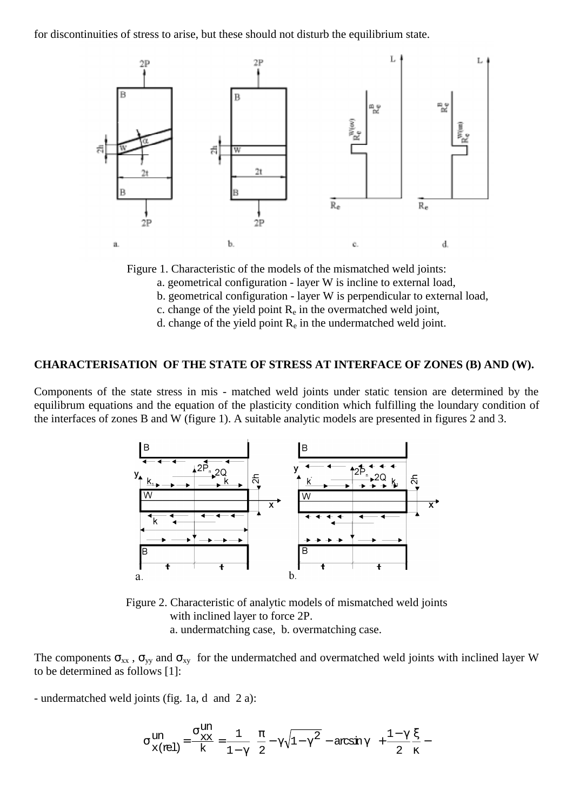for discontinuities of stress to arise, but these should not disturb the equilibrium state.



Figure 1. Characteristic of the models of the mismatched weld joints:

- a. geometrical configuration layer W is incline to external load,
- b. geometrical configuration layer W is perpendicular to external load,
- c. change of the yield point  $R_e$  in the overmatched weld joint,
- d. change of the yield point  $R_e$  in the undermatched weld joint.

## **CHARACTERISATION OF THE STATE OF STRESS AT INTERFACE OF ZONES (B) AND (W).**

Components of the state stress in mis - matched weld joints under static tension are determined by the equilibrum equations and the equation of the plasticity condition which fulfilling the loundary condition of the interfaces of zones B and W (figure 1). A suitable analytic models are presented in figures 2 and 3.



Figure 2. Characteristic of analytic models of mismatched weld joints with inclined layer to force 2P. a. undermatching case, b. overmatching case.

The components  $\sigma_{xx}$ ,  $\sigma_{yy}$  and  $\sigma_{xy}$  for the undermatched and overmatched weld joints with inclined layer W to be determined as follows [1]:

- undermatched weld joints (fig. 1a, d and 2 a):

$$
\sigma_{\text{X(rel)}}^{un} = \frac{\sigma_{\text{XX}}^{un}}{k} = \frac{1}{1-\gamma} \left( \frac{\pi}{2} - \gamma \sqrt{1-\gamma^2} - \arcsin \gamma \right) + \frac{1-\gamma}{2} \frac{\xi}{\kappa} -
$$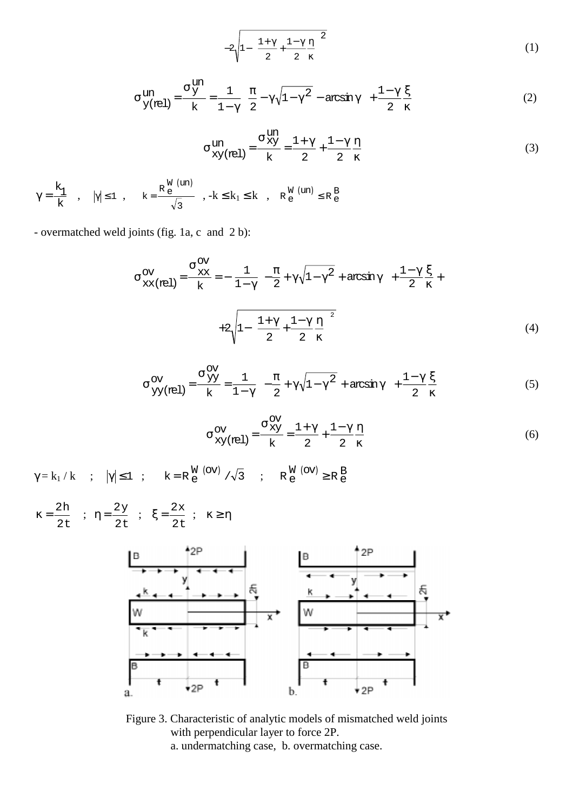$$
-2\sqrt{1-\left(\frac{1+\gamma}{2}+\frac{1-\gamma}{2}\frac{\eta}{\kappa}\right)^2}
$$
 (1)

$$
\sigma_{\gamma(\text{rel})}^{\text{un}} = \frac{\sigma_{\gamma}^{\text{un}}}{k} = \frac{1}{1 - \gamma} \left( \frac{\pi}{2} - \gamma \sqrt{1 - \gamma^2} - \arcsin \gamma \right) + \frac{1 - \gamma}{2} \frac{\xi}{\kappa}
$$
(2)

$$
\sigma \frac{\text{un}}{\text{xy}(\text{rel})} = \frac{\sigma \frac{\text{un}}{\text{xy}}}{\text{k}} = \frac{1 + \gamma}{2} + \frac{1 - \gamma}{2} \frac{\eta}{\kappa} \tag{3}
$$

$$
\gamma = \frac{k_1}{k} \quad , \quad |\gamma| \leq 1 \quad , \quad \ \ k = \frac{R \stackrel{W}{e} \stackrel{(un)}{\overline{\hspace{1cm}}}}{\sqrt{3}} \quad , \ - k \leq k_1 \leq k \quad , \quad \ R \stackrel{W}{e} \stackrel{(un)}{\overline{\hspace{1cm}}} \leq R \stackrel{B}{e}
$$

- overmatched weld joints (fig. 1a, c and 2 b):

$$
\sigma_{\text{XX(rel)}}^{\text{OV}} = \frac{\sigma_{\text{XX}}^{\text{OV}}}{k} = -\left[\frac{1}{1-\gamma}\left(-\frac{\pi}{2} + \gamma\sqrt{1-\gamma^2} + \arcsin\gamma\right) + \frac{1-\gamma}{2}\frac{\xi}{\kappa} + \frac{1}{\gamma}\sqrt{1-\left(\frac{1+\gamma}{2} + \frac{1-\gamma}{2}\frac{\eta}{\kappa}\right)^2}\right] \tag{4}
$$

$$
\sigma_{YY(\text{rel})}^{\text{OV}} = \frac{\sigma_{YY}^{\text{OV}}}{k} = \frac{1}{1-\gamma} \left( -\frac{\pi}{2} + \gamma \sqrt{1-\gamma^2} + \arcsin\gamma \right) + \frac{1-\gamma}{2} \frac{\xi}{\kappa}
$$
(5)

$$
\sigma_{xy(\text{rel})}^{\text{OV}} = \frac{\sigma_{xy}^{\text{OV}}}{k} = \frac{1+\gamma}{2} + \frac{1-\gamma}{2} \frac{\eta}{\kappa}
$$
(6)

 $\gamma = k_1 / k$  ;  $|\gamma| \le 1$  ;  $k = R_e^{\text{W (OV)}} / \sqrt{3}$  ;  $R_e^{\text{W (OV)}} \ge R_e^{\text{B}}$ 

$$
\kappa = \frac{2h}{2t} \quad ; \quad \eta = \frac{2y}{2t} \quad ; \quad \xi = \frac{2x}{2t} \quad ; \quad \kappa \ge \eta
$$



Figure 3. Characteristic of analytic models of mismatched weld joints with perpendicular layer to force 2P. a. undermatching case, b. overmatching case.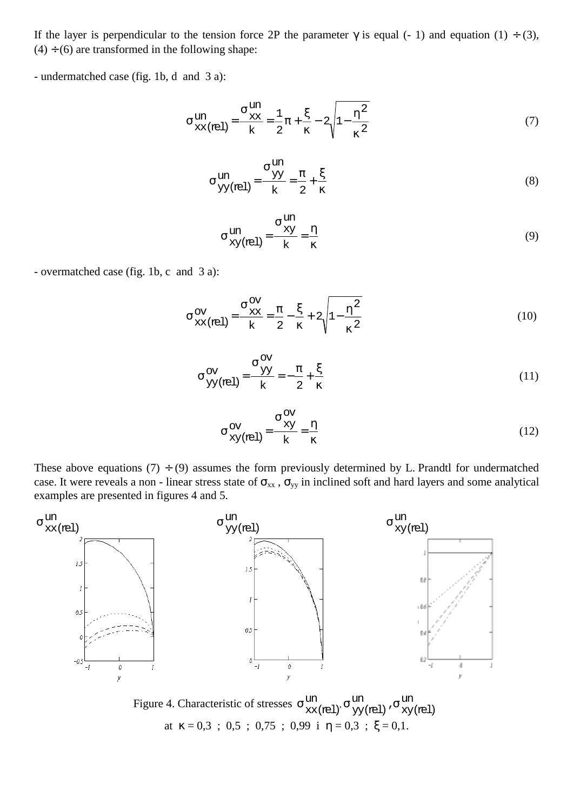If the layer is perpendicular to the tension force 2P the parameter  $\gamma$  is equal (- 1) and equation (1) ÷ (3),  $(4) \div (6)$  are transformed in the following shape:

- undermatched case (fig. 1b, d and 3 a):

$$
\sigma_{\text{xx}(rel)}^{\text{un}} = \frac{\sigma_{\text{xx}}^{\text{un}}}{k} = \frac{1}{2}\pi + \frac{\xi}{\kappa} - 2\sqrt{1 - \frac{\eta^2}{\kappa^2}}
$$
(7)

$$
\sigma_{YY(\text{rel})}^{\text{un}} = \frac{\sigma_{YY}^{\text{un}}}{k} = \frac{\pi}{2} + \frac{\xi}{\kappa}
$$
(8)

$$
\sigma \frac{\text{un}}{\text{xy}(\text{rel})} = \frac{\sigma \frac{\text{un}}{\text{xy}}}{k} = \frac{\eta}{\kappa} \tag{9}
$$

- overmatched case (fig. 1b, c and 3 a):

$$
\sigma_{\text{xx}(rel)}^{\text{OV}} = \frac{\sigma_{\text{xx}}^{\text{OV}}}{k} = \frac{\pi}{2} - \frac{\xi}{\kappa} + 2\sqrt{1 - \frac{\eta^2}{\kappa^2}}
$$
(10)

$$
\sigma_{YY(\text{rel})}^{\text{OV}} = \frac{\sigma_{YY}^{\text{OV}}}{k} = -\frac{\pi}{2} + \frac{\xi}{\kappa}
$$
(11)

$$
\sigma_{xy(\text{rel})}^{\text{OV}} = \frac{\sigma_{xy}^{\text{OV}}}{k} = \frac{\eta}{\kappa}
$$
 (12)

These above equations (7)  $\div$  (9) assumes the form previously determined by L. Prandtl for undermatched case. It were reveals a non - linear stress state of  $\sigma_{xx}$ ,  $\sigma_{yy}$  in inclined soft and hard layers and some analytical examples are presented in figures 4 and 5.



Figure 4. Characteristic of stresses  $\sigma_{\text{xx}(rel)}^{\text{un}}$ un<br>xx(rel)<sup>, σ</sup>yy(rel) '<sup>σ</sup> un xy (rel)  $\sigma_{xy(\text{rel})}^\text{un}$  ,  $\sigma_{xy(\text{rel})}^\text{un}$ at  $\kappa = 0.3$ ; 0.5; 0.75; 0.99 i  $\eta = 0.3$ ;  $\xi = 0.1$ .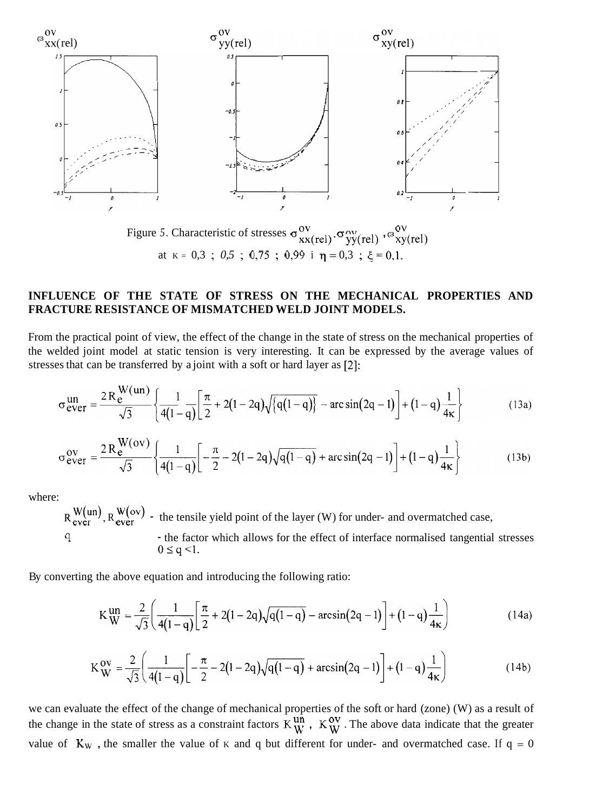

## **INFLUENCE OF THE STATE OF STRESS ON THE MECHANICAL PROPERTIES AND FRACTURE RESISTANCE OF MISMATCHED WELD JOINT MODELS.**

From the practical point of view, the effect of the change in the state of stress on the mechanical properties of the welded joint model at static tension is very interesting. It can be expressed by the average values of stresses that can be transferred by a joint with a soft or hard layer as [2]:

$$
\sigma_{\text{ever}}^{\text{un}} = \frac{2 \, \text{R}_{\text{e}}^{\text{W}(\text{un})}}{\sqrt{3}} \left\{ \frac{1}{4(1-q)} \left[ \frac{\pi}{2} + 2(1-2q)\sqrt{\left\{q(1-q)\right\}} - \arcsin(2q-1) \right] + (1-q)\frac{1}{4\kappa} \right\} \tag{13a}
$$

$$
\sigma_{\text{ever}}^{\text{ov}} = \frac{2 \, \text{R}_{\text{e}}^{\text{W}(\text{ov})}}{\sqrt{3}} \left\{ \frac{1}{4(1-q)} \left[ -\frac{\pi}{2} - 2(1-2q)\sqrt{q(1-q)} + \arcsin(2q-1) \right] + (1-q)\frac{1}{4\kappa} \right\} \tag{13b}
$$

where:

 $R_{\text{ever}}^{W(un)}$ ,  $R_{\text{ever}}^{W(ov)}$  - the tensile yield point of the layer (W) for under- and overmatched case, 4 - the factor which allows for the effect of interface normalised tangential stresses  $0 \leq q \leq 1$ .

By converting the above equation and introducing the following ratio:

$$
K_{\rm W}^{\rm un} = \frac{2}{\sqrt{3}} \left( \frac{1}{4(1-q)} \left[ \frac{\pi}{2} + 2(1-2q)\sqrt{q(1-q)} - \arcsin(2q-1) \right] + (1-q)\frac{1}{4\kappa} \right) \tag{14a}
$$

$$
K_{\rm W}^{\rm OV} = \frac{2}{\sqrt{3}} \left( \frac{1}{4(1-q)} \left[ -\frac{\pi}{2} - 2(1-2q)\sqrt{q(1-q)} + \arcsin(2q-1) \right] + (1-q)\frac{1}{4\kappa} \right) \tag{14b}
$$

we can evaluate the effect of the change of mechanical properties of the soft or hard (zone) (W) as a result of the change in the state of stress as a constraint factors  $K_W^{\text{un}}$ ,  $K_W^{\text{ov}}$ . The above data indicate that the greater value of  $K_W$ , the smaller the value of K and q but different for under- and overmatched case. If q = 0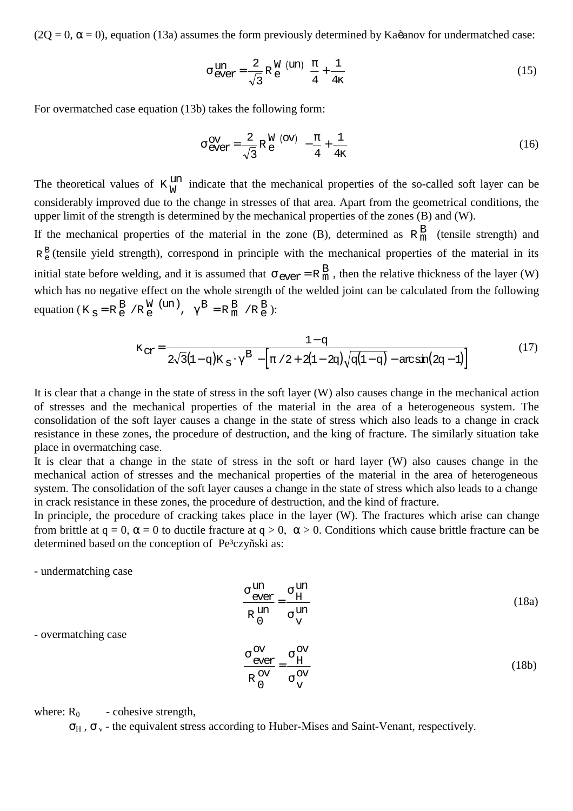$(2Q = 0, \alpha = 0)$ , equation (13a) assumes the form previously determined by Kaèanov for undermatched case:

$$
\sigma_{\text{ever}}^{\text{un}} = \frac{2}{\sqrt{3}} R_{\text{e}}^{\text{W (un)}} \left( \frac{\pi}{4} + \frac{1}{4\kappa} \right) \tag{15}
$$

For overmatched case equation (13b) takes the following form:

$$
\sigma \frac{\text{ov}}{\text{ever}} = \frac{2}{\sqrt{3}} R \frac{\text{W}}{\text{e}} \frac{(\text{ov})}{4} \left( -\frac{\pi}{4} + \frac{1}{4\kappa} \right) \tag{16}
$$

The theoretical values of  $K_W^{\text{un}}$  indicate that the mechanical properties of the so-called soft layer can be considerably improved due to the change in stresses of that area. Apart from the geometrical conditions, the upper limit of the strength is determined by the mechanical properties of the zones (B) and (W).

If the mechanical properties of the material in the zone (B), determined as  $R_m^B$  (tensile strength) and  $R_e^B$  (tensile yield strength), correspond in principle with the mechanical properties of the material in its initial state before welding, and it is assumed that  $\sigma_{\text{ever}} = R_{m}^{B}$ , then the relative thickness of the layer (W) which has no negative effect on the whole strength of the welded joint can be calculated from the following equation ( $K_S = R_e^B / R_e^W$  (un),  $\gamma^B = R_m^B / R_e^B$ ):

$$
\kappa_{\text{CT}} = \frac{1-q}{2\sqrt{3}(1-q)K_{\text{S}} \cdot \gamma^{\text{B}} - \left[\pi/2 + 2(1-2q)\sqrt{q(1-q)} - \arcsin(2q-1)\right]}
$$
(17)

It is clear that a change in the state of stress in the soft layer (W) also causes change in the mechanical action of stresses and the mechanical properties of the material in the area of a heterogeneous system. The consolidation of the soft layer causes a change in the state of stress which also leads to a change in crack resistance in these zones, the procedure of destruction, and the king of fracture. The similarly situation take place in overmatching case.

It is clear that a change in the state of stress in the soft or hard layer (W) also causes change in the mechanical action of stresses and the mechanical properties of the material in the area of heterogeneous system. The consolidation of the soft layer causes a change in the state of stress which also leads to a change in crack resistance in these zones, the procedure of destruction, and the kind of fracture.

In principle, the procedure of cracking takes place in the layer  $(W)$ . The fractures which arise can change from brittle at  $q = 0$ ,  $\alpha = 0$  to ductile fracture at  $q > 0$ ,  $\alpha > 0$ . Conditions which cause brittle fracture can be determined based on the conception of Pe<sup>3</sup>czyñski as:

- undermatching case

$$
\frac{\sigma_{\text{ever}}^{\text{un}}}{R_0^{\text{un}}} = \frac{\sigma_H^{\text{un}}}{\sigma_V^{\text{un}}}
$$
(18a)

- overmatching case

$$
\frac{\sigma_{\text{ever}}^{\text{ov}}}{R_0^{\text{ov}}} = \frac{\sigma_H^{\text{ov}}}{\sigma_V^{\text{ov}}}
$$
(18b)

where:  $R_0$  - cohesive strength,

 $\sigma_H$ ,  $\sigma_v$  - the equivalent stress according to Huber-Mises and Saint-Venant, respectively.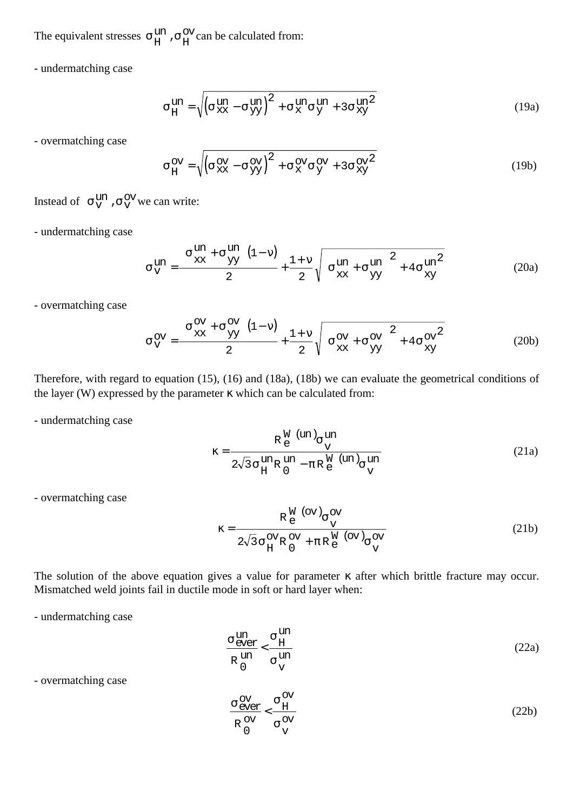The equivalent stresses  $\sigma_H^{\text{un}}$ ,  $\sigma$ ,  $\sigma_H^{\text{OV}}$  can be calculated from:

- undermatching case

$$
\sigma_H^{un} = \sqrt{\left(\sigma_{xx}^{un} - \sigma_{yy}^{un}\right)^2 + \sigma_x^{un} \sigma_y^{un} + 3\sigma_{xy}^{un}^2}
$$
(19a)

- overmatching case

$$
\sigma_{\rm H}^{\rm OV} = \sqrt{\left(\sigma_{\rm XX}^{\rm OV} - \sigma_{\rm YY}^{\rm OV}\right)^2 + \sigma_{\rm X}^{\rm CV} \sigma_{\rm Y}^{\rm OV} + 3\sigma_{\rm XY}^{\rm CV}} \tag{19b}
$$

Instead of  $\sigma_{V}^{un}$ ,  $\sigma$  $\sigma_V^{\text{OV}}$  we can write:

- undermatching case

$$
\sigma_{\rm V}^{\rm un} = \frac{\left(\sigma_{\rm xx}^{\rm un} + \sigma_{\rm YY}^{\rm un}\right)(1-\nu)}{2} + \frac{1+\nu}{2} \sqrt{\left(\sigma_{\rm xx}^{\rm un} + \sigma_{\rm YY}^{\rm un}\right)^2 + 4\sigma_{\rm xy}^{\rm un^2}}
$$
(20a)

- overmatching case

$$
\sigma_{V}^{OV} = \frac{\left(\sigma_{XX}^{OV} + \sigma_{YY}^{OV}\right)(1 - v)}{2} + \frac{1 + v}{2} \sqrt{\left(\sigma_{XX}^{OV} + \sigma_{YY}^{OV}\right)^{2} + 4\sigma_{XY}^{OV^{2}}}
$$
(20b)

Therefore, with regard to equation (15), (16) and (18a), (18b) we can evaluate the geometrical conditions of the layer (W) expressed by the parameter  $\kappa$  which can be calculated from:

- undermatching case

$$
\kappa = \frac{R_e^{\text{W (un)}} \sigma_v^{\text{un}}}{2\sqrt{3}\sigma_H^{\text{un}} R_0^{\text{un}} - \pi R_e^{\text{W (un)}} \sigma_v^{\text{un}}}
$$
(21a)

- overmatching case

$$
\kappa = \frac{R_e^{\text{W (ov)}} \sigma_v^{\text{ov}}}{2\sqrt{3}\sigma_{\text{H}}^{\text{ov}}R_0^{\text{ov}} + \pi R_e^{\text{W (ov)}} \sigma_v^{\text{ov}}}
$$
(21b)

The solution of the above equation gives a value for parameter κ after which brittle fracture may occur. Mismatched weld joints fail in ductile mode in soft or hard layer when:

- undermatching case

$$
\frac{\sigma_{\text{ever}}^{\text{un}}}{R_0^{\text{un}}} < \frac{\sigma_H^{\text{un}}}{\sigma_V^{\text{un}}}
$$
\n(22a)

- overmatching case

$$
\frac{\sigma_{\text{ever}}^{\text{ov}}}{R_0^{\text{ov}}} < \frac{\sigma_H^{\text{ov}}}{\sigma_V^{\text{ov}}}
$$
(22b)